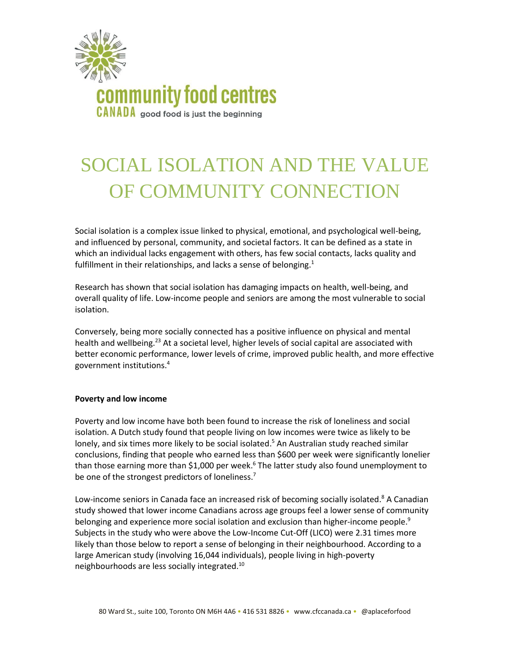

# SOCIAL ISOLATION AND THE VALUE OF COMMUNITY CONNECTION

Social isolation is a complex issue linked to physical, emotional, and psychological well-being, and influenced by personal, community, and societal factors. It can be defined as a state in which an individual lacks engagement with others, has few social contacts, lacks quality and fulfillment in their relationships, and lacks a sense of belonging. $1$ 

Research has shown that social isolation has damaging impacts on health, well-being, and overall quality of life. Low-income people and seniors are among the most vulnerable to social isolation.

Conversely, being more socially connected has a positive influence on physical and mental health and wellbeing.<sup>23</sup> At a societal level, higher levels of social capital are associated with better economic performance, lower levels of crime, improved public health, and more effective government institutions. 4

# **Poverty and low income**

Poverty and low income have both been found to increase the risk of loneliness and social isolation. A Dutch study found that people living on low incomes were twice as likely to be lonely, and six times more likely to be social isolated.<sup>5</sup> An Australian study reached similar conclusions, finding that people who earned less than \$600 per week were significantly lonelier than those earning more than \$1,000 per week.<sup>6</sup> The latter study also found unemployment to be one of the strongest predictors of loneliness.<sup>7</sup>

Low-income seniors in Canada face an increased risk of becoming socially isolated.<sup>8</sup> A Canadian study showed that lower income Canadians across age groups feel a lower sense of community belonging and experience more social isolation and exclusion than higher-income people.<sup>9</sup> Subjects in the study who were above the Low-Income Cut-Off (LICO) were 2.31 times more likely than those below to report a sense of belonging in their neighbourhood. According to a large American study (involving 16,044 individuals), people living in high-poverty neighbourhoods are less socially integrated.10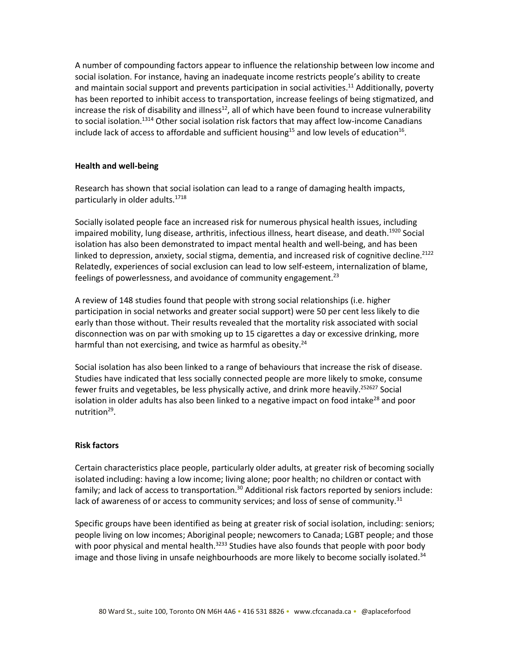A number of compounding factors appear to influence the relationship between low income and social isolation. For instance, having an inadequate income restricts people's ability to create and maintain social support and prevents participation in social activities.<sup>11</sup> Additionally, poverty has been reported to inhibit access to transportation, increase feelings of being stigmatized, and increase the risk of disability and illness<sup>12</sup>, all of which have been found to increase vulnerability to social isolation.<sup>1314</sup> Other social isolation risk factors that may affect low-income Canadians include lack of access to affordable and sufficient housing<sup>15</sup> and low levels of education<sup>16</sup>.

# **Health and well-being**

Research has shown that social isolation can lead to a range of damaging health impacts, particularly in older adults.<sup>1718</sup>

Socially isolated people face an increased risk for numerous physical health issues, including impaired mobility, lung disease, arthritis, infectious illness, heart disease, and death.<sup>1920</sup> Social isolation has also been demonstrated to impact mental health and well-being, and has been linked to depression, anxiety, social stigma, dementia, and increased risk of cognitive decline.<sup>2122</sup> Relatedly, experiences of social exclusion can lead to low self-esteem, internalization of blame, feelings of powerlessness, and avoidance of community engagement.<sup>23</sup>

A review of 148 studies found that people with strong social relationships (i.e. higher participation in social networks and greater social support) were 50 per cent less likely to die early than those without. Their results revealed that the mortality risk associated with social disconnection was on par with smoking up to 15 cigarettes a day or excessive drinking, more harmful than not exercising, and twice as harmful as obesity. $24$ 

Social isolation has also been linked to a range of behaviours that increase the risk of disease. Studies have indicated that less socially connected people are more likely to smoke, consume fewer fruits and vegetables, be less physically active, and drink more heavily.<sup>252627</sup> Social isolation in older adults has also been linked to a negative impact on food intake<sup>28</sup> and poor nutrition<sup>29</sup>.

## **Risk factors**

Certain characteristics place people, particularly older adults, at greater risk of becoming socially isolated including: having a low income; living alone; poor health; no children or contact with family; and lack of access to transportation.<sup>30</sup> Additional risk factors reported by seniors include: lack of awareness of or access to community services; and loss of sense of community. $31$ 

Specific groups have been identified as being at greater risk of social isolation, including: seniors; people living on low incomes; Aboriginal people; newcomers to Canada; LGBT people; and those with poor physical and mental health. $3233$  Studies have also founds that people with poor body image and those living in unsafe neighbourhoods are more likely to become socially isolated.<sup>34</sup>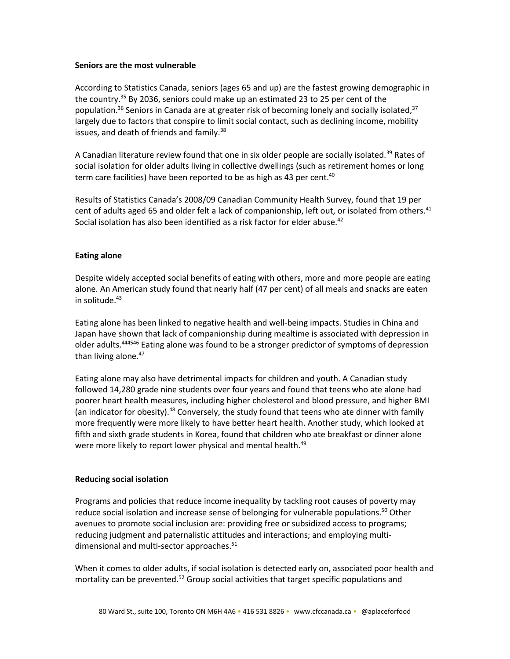# **Seniors are the most vulnerable**

According to Statistics Canada, seniors (ages 65 and up) are the fastest growing demographic in the country. <sup>35</sup> By 2036, seniors could make up an estimated 23 to 25 per cent of the population.<sup>36</sup> Seniors in Canada are at greater risk of becoming lonely and socially isolated,<sup>37</sup> largely due to factors that conspire to limit social contact, such as declining income, mobility issues, and death of friends and family.<sup>38</sup>

A Canadian literature review found that one in six older people are socially isolated.<sup>39</sup> Rates of social isolation for older adults living in collective dwellings (such as retirement homes or long term care facilities) have been reported to be as high as 43 per cent.<sup>40</sup>

Results of Statistics Canada's 2008/09 Canadian Community Health Survey, found that 19 per cent of adults aged 65 and older felt a lack of companionship, left out, or isolated from others.<sup>41</sup> Social isolation has also been identified as a risk factor for elder abuse.<sup>42</sup>

# **Eating alone**

Despite widely accepted social benefits of eating with others, more and more people are eating alone. An American study found that nearly half (47 per cent) of all meals and snacks are eaten in solitude. $43$ 

Eating alone has been linked to negative health and well-being impacts. Studies in China and Japan have shown that lack of companionship during mealtime is associated with depression in older adults.<sup>444546</sup> Eating alone was found to be a stronger predictor of symptoms of depression than living alone.<sup>47</sup>

Eating alone may also have detrimental impacts for children and youth. A Canadian study followed 14,280 grade nine students over four years and found that teens who ate alone had poorer heart health measures, including higher cholesterol and blood pressure, and higher BMI (an indicator for obesity).<sup>48</sup> Conversely, the study found that teens who ate dinner with family more frequently were more likely to have better heart health. Another study, which looked at fifth and sixth grade students in Korea, found that children who ate breakfast or dinner alone were more likely to report lower physical and mental health.<sup>49</sup>

## **Reducing social isolation**

Programs and policies that reduce income inequality by tackling root causes of poverty may reduce social isolation and increase sense of belonging for vulnerable populations.<sup>50</sup> Other avenues to promote social inclusion are: providing free or subsidized access to programs; reducing judgment and paternalistic attitudes and interactions; and employing multidimensional and multi-sector approaches.<sup>51</sup>

When it comes to older adults, if social isolation is detected early on, associated poor health and mortality can be prevented.<sup>52</sup> Group social activities that target specific populations and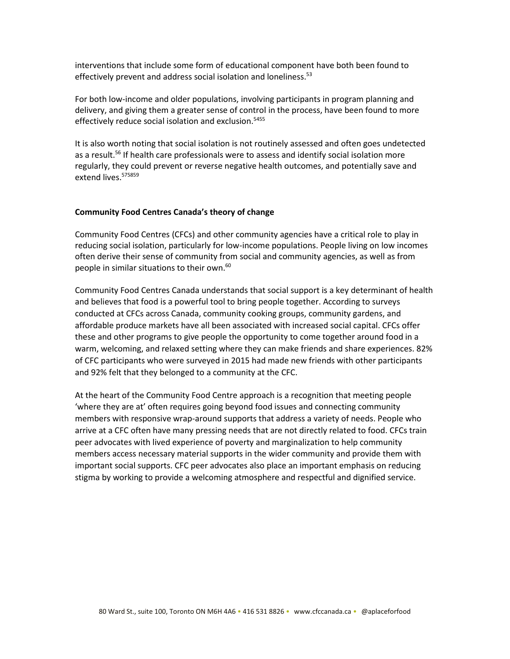interventions that include some form of educational component have both been found to effectively prevent and address social isolation and loneliness.<sup>53</sup>

For both low-income and older populations, involving participants in program planning and delivery, and giving them a greater sense of control in the process, have been found to more effectively reduce social isolation and exclusion. 5455

It is also worth noting that social isolation is not routinely assessed and often goes undetected as a result.<sup>56</sup> If health care professionals were to assess and identify social isolation more regularly, they could prevent or reverse negative health outcomes, and potentially save and extend lives. 575859

### **Community Food Centres Canada's theory of change**

Community Food Centres (CFCs) and other community agencies have a critical role to play in reducing social isolation, particularly for low-income populations. People living on low incomes often derive their sense of community from social and community agencies, as well as from people in similar situations to their own. 60

Community Food Centres Canada understands that social support is a key determinant of health and believes that food is a powerful tool to bring people together. According to surveys conducted at CFCs across Canada, community cooking groups, community gardens, and affordable produce markets have all been associated with increased social capital. CFCs offer these and other programs to give people the opportunity to come together around food in a warm, welcoming, and relaxed setting where they can make friends and share experiences. 82% of CFC participants who were surveyed in 2015 had made new friends with other participants and 92% felt that they belonged to a community at the CFC.

At the heart of the Community Food Centre approach is a recognition that meeting people 'where they are at' often requires going beyond food issues and connecting community members with responsive wrap-around supports that address a variety of needs. People who arrive at a CFC often have many pressing needs that are not directly related to food. CFCs train peer advocates with lived experience of poverty and marginalization to help community members access necessary material supports in the wider community and provide them with important social supports. CFC peer advocates also place an important emphasis on reducing stigma by working to provide a welcoming atmosphere and respectful and dignified service.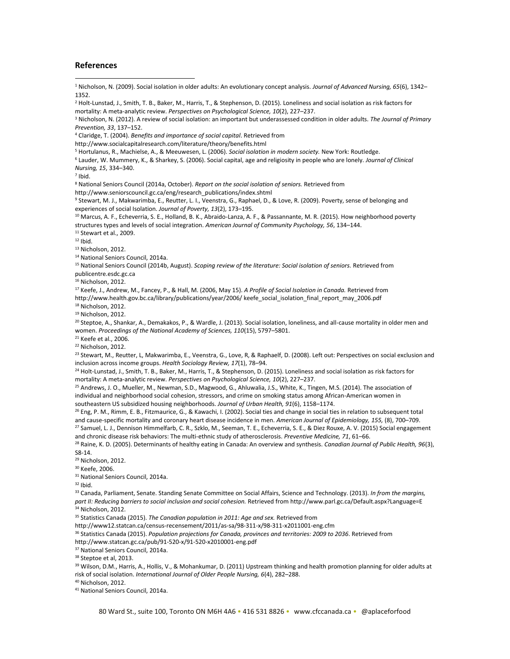#### **References**

 $\overline{\phantom{a}}$ 

<sup>1</sup> Nicholson, N. (2009). Social isolation in older adults: An evolutionary concept analysis. *Journal of Advanced Nursing, 65*(6), 1342– 1352.

<sup>2</sup> Holt-Lunstad, J., Smith, T. B., Baker, M., Harris, T., & Stephenson, D. (2015). Loneliness and social isolation as risk factors for mortality: A meta-analytic review. *Perspectives on Psychological Science, 10*(2), 227–237.

<sup>3</sup> Nicholson, N. (2012). A review of social isolation: an important but underassessed condition in older adults. *The Journal of Primary Prevention, 33*, 137–152.

<sup>4</sup> Claridge, T. (2004). *Benefits and importance of social capital*. Retrieved from

http://www.socialcapitalresearch.com/literature/theory/benefits.html

<sup>5</sup> Hortulanus, R., Machielse, A., & Meeuwesen, L. (2006). *Social isolation in modern society.* New York: Routledge.

<sup>6</sup> Lauder, W. Mummery, K., & Sharkey, S. (2006). Social capital, age and religiosity in people who are lonely. *Journal of Clinical Nursing, 15*, 334–340.

7 Ibid.

<sup>8</sup> National Seniors Council (2014a, October). *Report on the social isolation of seniors.* Retrieved from

http://www.seniorscouncil.gc.ca/eng/research\_publications/index.shtml

<sup>9</sup> Stewart, M. J., Makwarimba, E., Reutter, L. I., Veenstra, G., Raphael, D., & Love, R. (2009). Poverty, sense of belonging and experiences of social Isolation. *Journal of Poverty, 13*(2), 173–195.

<sup>10</sup> Marcus, A. F., Echeverria, S. E., Holland, B. K., Abraido-Lanza, A. F., & Passannante, M. R. (2015). How neighborhood poverty structures types and levels of social integration. *American Journal of Community Psychology, 56*, 134–144.

<sup>11</sup> Stewart et al., 2009.

 $12$  Ibid.

<sup>13</sup> Nicholson, 2012.

<sup>14</sup> National Seniors Council, 2014a.

<sup>15</sup> National Seniors Council (2014b, August). *Scoping review of the literature: Social isolation of seniors.* Retrieved from publicentre.esdc.gc.ca

<sup>16</sup> Nicholson, 2012.

<sup>17</sup> Keefe, J., Andrew, M., Fancey, P., & Hall, M. (2006, May 15). *A Profile of Social Isolation in Canada.* Retrieved from

http://www.health.gov.bc.ca/library/publications/year/2006/ keefe\_social\_isolation\_final\_report\_may\_2006.pdf

<sup>18</sup> Nicholson, 2012.

<sup>19</sup> Nicholson, 2012.

 $^{20}$  Steptoe, A., Shankar, A., Demakakos, P., & Wardle, J. (2013). Social isolation, loneliness, and all-cause mortality in older men and women. *Proceedings of the National Academy of Sciences, 110*(15), 5797–5801.

<sup>21</sup> Keefe et al., 2006.

<sup>22</sup> Nicholson, 2012.

<sup>23</sup> Stewart, M., Reutter, L, Makwarimba, E., Veenstra, G., Love, R, & Raphaelf, D. (2008). Left out: Perspectives on social exclusion and inclusion across income groups. *Health Sociology Review, 17*(1), 78–94.

<sup>24</sup> Holt-Lunstad, J., Smith, T. B., Baker, M., Harris, T., & Stephenson, D. (2015). Loneliness and social isolation as risk factors for mortality: A meta-analytic review. *Perspectives on Psychological Science, 10*(2), 227–237.

<sup>25</sup> Andrews, J. O., Mueller, M., Newman, S.D., Magwood, G., Ahluwalia, J.S., White, K., Tingen, M.S. (2014). The association of individual and neighborhood social cohesion, stressors, and crime on smoking status among African-American women in southeastern US subsidized housing neighborhoods. *Journal of Urban Health, 91*(6), 1158–1174.

<sup>26</sup> Eng, P. M., Rimm, E. B., Fitzmaurice, G., & Kawachi, I. (2002). Social ties and change in social ties in relation to subsequent total and cause-specific mortality and coronary heart disease incidence in men. *American Journal of Epidemiology, 155,* (8), 700–709. <sup>27</sup> Samuel, L. J., Dennison Himmelfarb, C. R., Szklo, M., Seeman, T. E., Echeverria, S. E., & Diez Rouxe, A. V. (2015) Social engagement

and chronic disease risk behaviors: The multi-ethnic study of atherosclerosis. *Preventive Medicine, 71*, 61–66.

<sup>28</sup> Raine, K. D. (2005). Determinants of healthy eating in Canada: An overview and synthesis. *Canadian Journal of Public Health, 96*(3), S8-14.

<sup>29</sup> Nicholson, 2012.

<sup>30</sup> Keefe, 2006.

<sup>31</sup> National Seniors Council, 2014a.

 $32$  Ibid.

<sup>33</sup> Canada, Parliament, Senate. Standing Senate Committee on Social Affairs, Science and Technology. (2013). *In from the margins, part II: Reducing barriers to social inclusion and social cohesion.* Retrieved from http://www.parl.gc.ca/Default.aspx?Language=E <sup>34</sup> Nicholson, 2012.

<sup>35</sup> Statistics Canada (2015). *The Canadian population in 2011: Age and sex.* Retrieved from

http://www12.statcan.ca/census-recensement/2011/as-sa/98-311-x/98-311-x2011001-eng.cfm

<sup>36</sup> Statistics Canada (2015). *Population projections for Canada, provinces and territories: 2009 to 2036*. Retrieved from

http://www.statcan.gc.ca/pub/91-520-x/91-520-x2010001-eng.pdf

<sup>37</sup> National Seniors Council, 2014a.

<sup>38</sup> Steptoe et al, 2013.

39 Wilson, D.M., Harris, A., Hollis, V., & Mohankumar, D. (2011) Upstream thinking and health promotion planning for older adults at risk of social isolation. *International Journal of Older People Nursing, 6*(4), 282–288.

<sup>40</sup> Nicholson, 2012.

<sup>41</sup> National Seniors Council, 2014a.